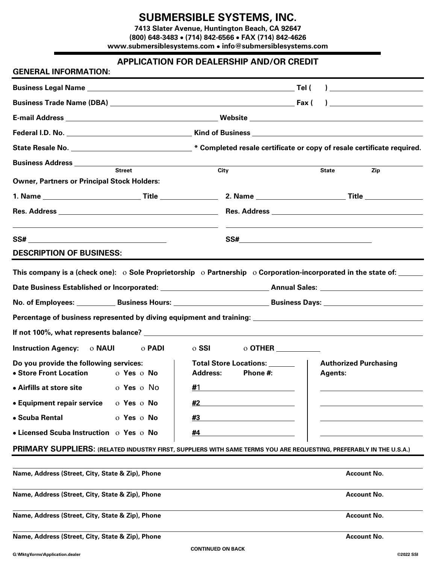## **SUBMERSIBLE SYSTEMS, INC.**

**7413 Slater Avenue, Huntington Beach, CA 92647 (800) 648-3483** • **(714) 842-6566** • **FAX (714) 842-4626 www.submersiblesystems.com** • **info@submersiblesystems.com**

## **APPLICATION FOR DEALERSHIP AND/OR CREDIT**

| <b>GENERAL INFORMATION:</b>                                                                                              |                   |          |                                                     |
|--------------------------------------------------------------------------------------------------------------------------|-------------------|----------|-----------------------------------------------------|
|                                                                                                                          |                   |          |                                                     |
|                                                                                                                          |                   |          | ) and the contract of the contract of $\mathcal{L}$ |
|                                                                                                                          |                   |          |                                                     |
|                                                                                                                          |                   |          |                                                     |
| State Resale No. _________________________________* Completed resale certificate or copy of resale certificate required. |                   |          |                                                     |
|                                                                                                                          |                   |          |                                                     |
| <b>Street</b><br><b>Owner, Partners or Principal Stock Holders:</b>                                                      | City              |          | <b>State</b><br>Zip                                 |
|                                                                                                                          |                   |          |                                                     |
|                                                                                                                          |                   |          |                                                     |
|                                                                                                                          |                   |          |                                                     |
| <b>DESCRIPTION OF BUSINESS:</b>                                                                                          |                   |          |                                                     |
|                                                                                                                          |                   |          |                                                     |
| Instruction Agency: 0 NAUI<br>o <b>PADI</b>                                                                              | $\circ$ SSI       |          |                                                     |
| Do you provide the following services:<br>  Total Store Locations: ______<br>• Store Front Location<br><b>O</b> Yes O No | <b>Address:</b>   | Phone #: | <b>Authorized Purchasing</b><br><b>Agents:</b>      |
| • Airfills at store site only the story of No                                                                            | $\frac{\#1}{\#1}$ |          |                                                     |
| • Equipment repair service<br>o Yes o No                                                                                 | #2                |          |                                                     |
| • Scuba Rental<br>o Yes o No                                                                                             | #3                |          |                                                     |
| • Licensed Scuba Instruction o Yes o No                                                                                  | #4                |          |                                                     |
| PRIMARY SUPPLIERS: (RELATED INDUSTRY FIRST, SUPPLIERS WITH SAME TERMS YOU ARE REQUESTING, PREFERABLY IN THE U.S.A.)      |                   |          |                                                     |
|                                                                                                                          |                   |          |                                                     |
| Name, Address (Street, City, State & Zip), Phone                                                                         |                   |          | <b>Account No.</b>                                  |
| Name, Address (Street, City, State & Zip), Phone                                                                         |                   |          | <b>Account No.</b>                                  |
| Name, Address (Street, City, State & Zip), Phone                                                                         |                   |          | <b>Account No.</b>                                  |
| Name, Address (Street, City, State & Zip), Phone                                                                         |                   |          | <b>Account No.</b>                                  |